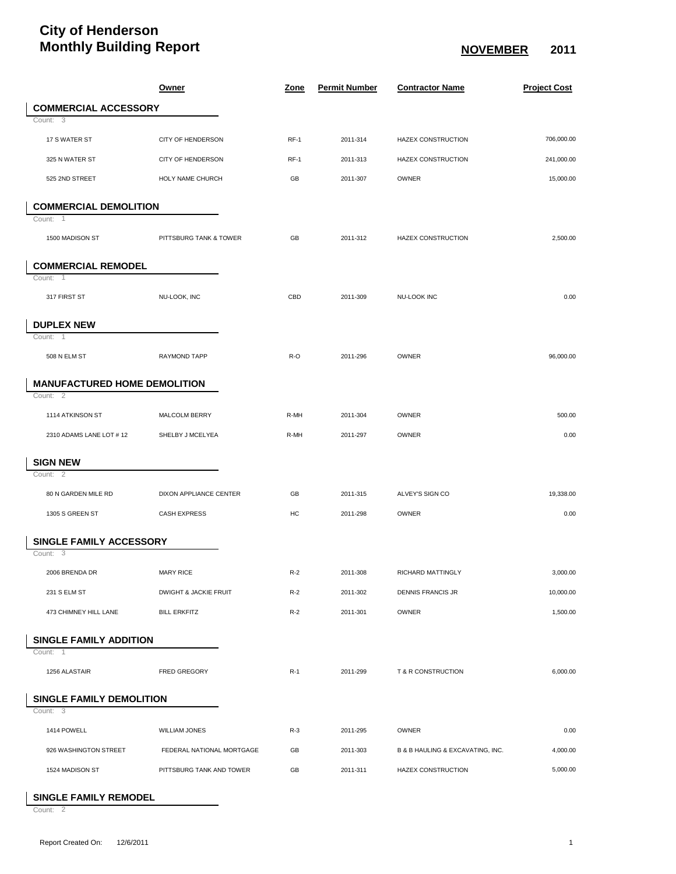## **City of Henderson Monthly Building Report NovEMBER** 2011

|                                     | <b>Owner</b>              | <u>Zone</u> | <b>Permit Number</b> | <b>Contractor Name</b>           | <b>Project Cost</b> |
|-------------------------------------|---------------------------|-------------|----------------------|----------------------------------|---------------------|
| <b>COMMERCIAL ACCESSORY</b>         |                           |             |                      |                                  |                     |
| Count: 3                            |                           |             |                      |                                  |                     |
| 17 S WATER ST                       | CITY OF HENDERSON         | $RF-1$      | 2011-314             | HAZEX CONSTRUCTION               | 706,000.00          |
| 325 N WATER ST                      | CITY OF HENDERSON         | $RF-1$      | 2011-313             | HAZEX CONSTRUCTION               | 241,000.00          |
| 525 2ND STREET                      | HOLY NAME CHURCH          | GB          | 2011-307             | OWNER                            | 15,000.00           |
| <b>COMMERCIAL DEMOLITION</b>        |                           |             |                      |                                  |                     |
| Count: 1                            |                           |             |                      |                                  |                     |
| 1500 MADISON ST                     | PITTSBURG TANK & TOWER    | GB          | 2011-312             | HAZEX CONSTRUCTION               | 2,500.00            |
| <b>COMMERCIAL REMODEL</b>           |                           |             |                      |                                  |                     |
| Count: 1                            |                           |             |                      |                                  |                     |
| 317 FIRST ST                        | NU-LOOK, INC              | CBD         | 2011-309             | NU-LOOK INC                      | 0.00                |
| <b>DUPLEX NEW</b>                   |                           |             |                      |                                  |                     |
| Count: 1                            |                           |             |                      |                                  |                     |
| 508 N ELM ST                        | RAYMOND TAPP              | R-O         | 2011-296             | OWNER                            | 96,000.00           |
| <b>MANUFACTURED HOME DEMOLITION</b> |                           |             |                      |                                  |                     |
| Count: $\overline{2}$               |                           |             |                      |                                  |                     |
| 1114 ATKINSON ST                    | MALCOLM BERRY             | R-MH        | 2011-304             | OWNER                            | 500.00              |
| 2310 ADAMS LANE LOT # 12            | SHELBY J MCELYEA          | R-MH        | 2011-297             | OWNER                            | 0.00                |
| <b>SIGN NEW</b>                     |                           |             |                      |                                  |                     |
| Count: 2                            |                           |             |                      |                                  |                     |
| 80 N GARDEN MILE RD                 | DIXON APPLIANCE CENTER    | GB          | 2011-315             | ALVEY'S SIGN CO                  | 19,338.00           |
| 1305 S GREEN ST                     | <b>CASH EXPRESS</b>       | HC          | 2011-298             | OWNER                            | 0.00                |
| <b>SINGLE FAMILY ACCESSORY</b>      |                           |             |                      |                                  |                     |
| Count: $\overline{3}$               |                           |             |                      |                                  |                     |
| 2006 BRENDA DR                      | <b>MARY RICE</b>          | $R-2$       | 2011-308             | RICHARD MATTINGLY                | 3,000.00            |
| 231 S ELM ST                        | DWIGHT & JACKIE FRUIT     | $R-2$       | 2011-302             | <b>DENNIS FRANCIS JR</b>         | 10,000.00           |
| 473 CHIMNEY HILL LANE               | <b>BILL ERKFITZ</b>       | $R-2$       | 2011-301             | OWNER                            | 1,500.00            |
| <b>SINGLE FAMILY ADDITION</b>       |                           |             |                      |                                  |                     |
| Count: 1                            |                           |             |                      |                                  |                     |
| 1256 ALASTAIR                       | FRED GREGORY              | $R-1$       | 2011-299             | T & R CONSTRUCTION               | 6,000.00            |
| SINGLE FAMILY DEMOLITION            |                           |             |                      |                                  |                     |
| Count: 3                            |                           |             |                      |                                  |                     |
| 1414 POWELL                         | WILLIAM JONES             | $R-3$       | 2011-295             | OWNER                            | 0.00                |
| 926 WASHINGTON STREET               | FEDERAL NATIONAL MORTGAGE | GB          | 2011-303             | B & B HAULING & EXCAVATING, INC. | 4,000.00            |
| 1524 MADISON ST                     | PITTSBURG TANK AND TOWER  | GB          | 2011-311             | HAZEX CONSTRUCTION               | 5,000.00            |

**SINGLE FAMILY REMODEL**

Count: 2